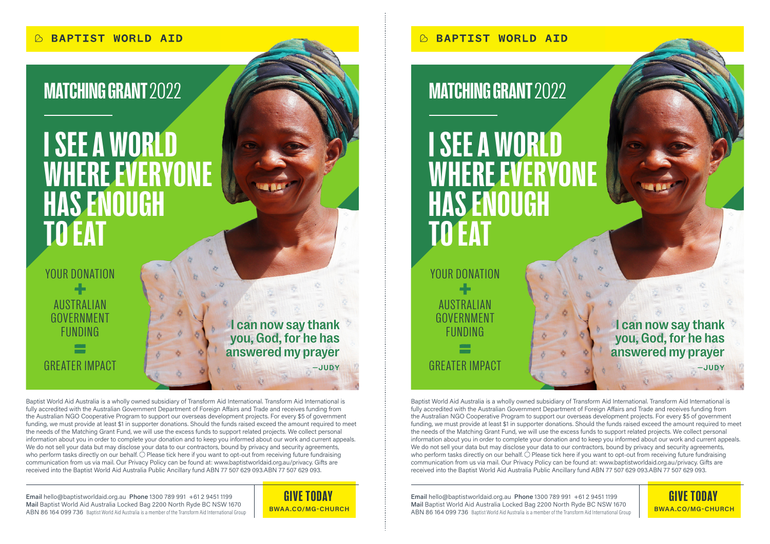# I SEE A WORLD WHERE EVERYONE HAS ENOUGH TO EAT

YOUR DONATION 4 **AUSTRALIAN** GOVERNMENT FUNDING GREATER IMPACT

I can now say thank you, God, for he has answered my prayer —JUDY

Baptist World Aid Australia is a wholly owned subsidiary of Transform Aid International. Transform Aid International is fully accredited with the Australian Government Department of Foreign Affairs and Trade and receives funding from the Australian NGO Cooperative Program to support our overseas development projects. For every \$5 of government funding, we must provide at least \$1 in supporter donations. Should the funds raised exceed the amount required to meet the needs of the Matching Grant Fund, we will use the excess funds to support related projects. We collect personal information about you in order to complete your donation and to keep you informed about our work and current appeals. We do not sell your data but may disclose your data to our contractors, bound by privacy and security agreements, who perform tasks directly on our behalf. O Please tick here if you want to opt-out from receiving future fundraising communication from us via mail. Our Privacy Policy can be found at: www.baptistworldaid.org.au/privacy. Gifts are received into the Baptist World Aid Australia Public Ancillary fund ABN 77 507 629 093.ABN 77 507 629 093.

Email hello@baptistworldaid.org.au Phone 1300 789 991 +61 2 9451 1199 Mail Baptist World Aid Australia Locked Bag 2200 North Ryde BC NSW 1670 ABN 86 164 099 736 Baptist World Aid Australia is a member of the Transform Aid International Group



## MATCHING GRANT 2022 MATCHING GRANT 2022

# I SEE A WORLD WHERE EVERYONE HAS ENOUGH TO EAT

AUSTRALIAN GOVERNMENT FUNDING GREATER IMPACT YOUR DONATION

I can now say thank you, God, for he has answered my prayer —JUDY

Baptist World Aid Australia is a wholly owned subsidiary of Transform Aid International. Transform Aid International is fully accredited with the Australian Government Department of Foreign Affairs and Trade and receives funding from the Australian NGO Cooperative Program to support our overseas development projects. For every \$5 of government funding, we must provide at least \$1 in supporter donations. Should the funds raised exceed the amount required to meet the needs of the Matching Grant Fund, we will use the excess funds to support related projects. We collect personal information about you in order to complete your donation and to keep you informed about our work and current appeals. We do not sell your data but may disclose your data to our contractors, bound by privacy and security agreements, who perform tasks directly on our behalf.  $\bigcirc$  Please tick here if you want to opt-out from receiving future fundraising communication from us via mail. Our Privacy Policy can be found at: www.baptistworldaid.org.au/privacy. Gifts are received into the Baptist World Aid Australia Public Ancillary fund ABN 77 507 629 093.ABN 77 507 629 093.

GIVE TODAY Email hello@baptistworldaid.org.au Phone 1300 789 991 +61 2 9451 1199 **GIVE TODAY** Mail Baptist World Aid Australia Locked Bag 2200 North Ryde BC NSW 1670 ABN 86 164 099 736 Baptist World Aid Australia is a member of the Transform Aid International Group **BWAA.CO/MG-CHURCH BWAA.CO/MG-CHURCH**